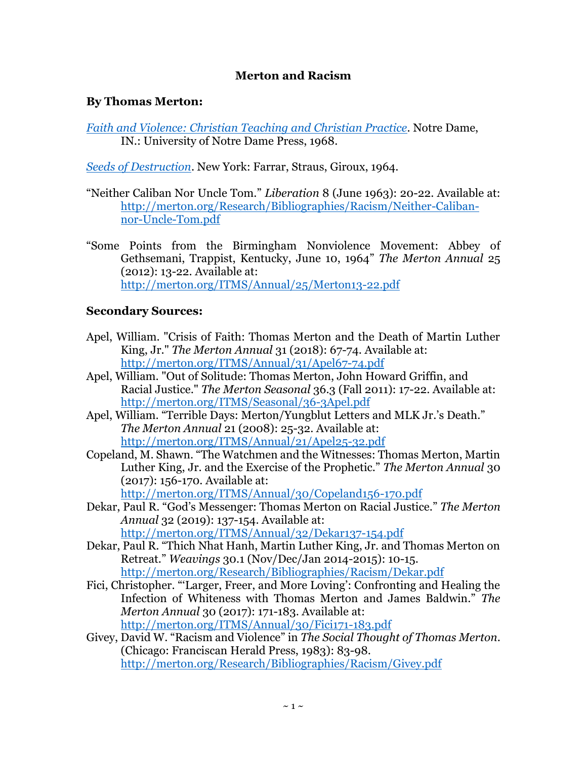## **Merton and Racism**

### **By Thomas Merton:**

*[Faith and Violence: Christian Teaching and Christian Practice](https://smile.amazon.com/exec/obidos/ASIN/0268000948/thomasmertonc-20/ch/16-1314862/)*. Notre Dame, IN.: University of Notre Dame Press, 1968.

*[Seeds of Destruction](https://www.amazon.com/exec/obidos/ASIN/0374515867/thomasmertonc-20)*. New York: Farrar, Straus, Giroux, 1964.

- "Neither Caliban Nor Uncle Tom." *Liberation* 8 (June 1963): 20-22. Available at: [http://merton.org/Research/Bibliographies/Racism/Neither-Caliban](http://merton.org/Research/Bibliographies/Racism/Neither-Caliban-nor-Uncle-Tom.pdf)[nor-Uncle-Tom.pdf](http://merton.org/Research/Bibliographies/Racism/Neither-Caliban-nor-Uncle-Tom.pdf)
- "Some Points from the Birmingham Nonviolence Movement: Abbey of Gethsemani, Trappist, Kentucky, June 10, 1964" *The Merton Annual* 25 (2012): 13-22. Available at: <http://merton.org/ITMS/Annual/25/Merton13-22.pdf>

## **Secondary Sources:**

- Apel, William. "Crisis of Faith: Thomas Merton and the Death of Martin Luther King, Jr." *The Merton Annual* 31 (2018): 67-74. Available at: <http://merton.org/ITMS/Annual/31/Apel67-74.pdf>
- Apel, William. "Out of Solitude: Thomas Merton, John Howard Griffin, and Racial Justice." *The Merton Seasonal* 36.3 (Fall 2011): 17-22. Available at: <http://merton.org/ITMS/Seasonal/36-3Apel.pdf>
- Apel, William. "Terrible Days: Merton/Yungblut Letters and MLK Jr.'s Death." *The Merton Annual* 21 (2008): 25-32. Available at: <http://merton.org/ITMS/Annual/21/Apel25-32.pdf>
- Copeland, M. Shawn. "The Watchmen and the Witnesses: Thomas Merton, Martin Luther King, Jr. and the Exercise of the Prophetic." *The Merton Annual* 30 (2017): 156-170. Available at: <http://merton.org/ITMS/Annual/30/Copeland156-170.pdf>
- Dekar, Paul R. "God's Messenger: Thomas Merton on Racial Justice." *The Merton Annual* 32 (2019): 137-154. Available at: <http://merton.org/ITMS/Annual/32/Dekar137-154.pdf>
- Dekar, Paul R. "Thich Nhat Hanh, Martin Luther King, Jr. and Thomas Merton on Retreat." *Weavings* 30.1 (Nov/Dec/Jan 2014-2015): 10-15. <http://merton.org/Research/Bibliographies/Racism/Dekar.pdf>
- Fici, Christopher. "'Larger, Freer, and More Loving': Confronting and Healing the Infection of Whiteness with Thomas Merton and James Baldwin." *The Merton Annual* 30 (2017): 171-183. Available at: <http://merton.org/ITMS/Annual/30/Fici171-183.pdf>
- Givey, David W. "Racism and Violence" in *The Social Thought of Thomas Merton*. (Chicago: Franciscan Herald Press, 1983): 83-98. <http://merton.org/Research/Bibliographies/Racism/Givey.pdf>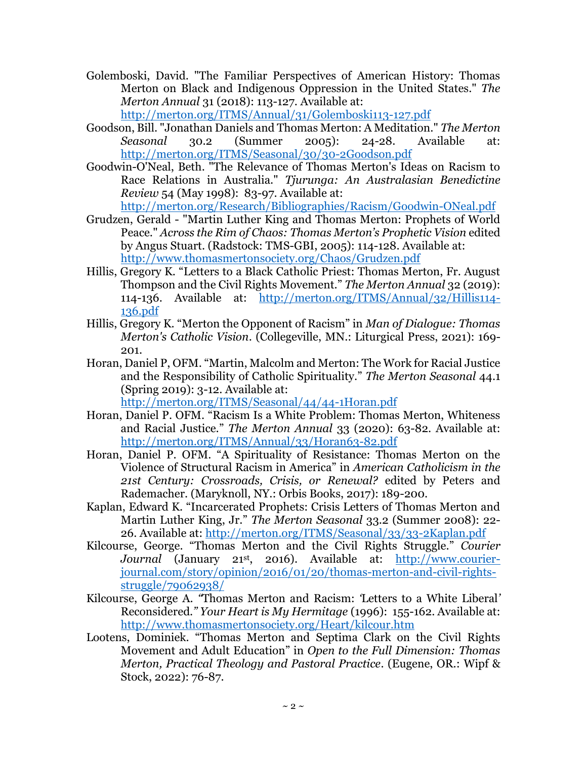- Golemboski, David. "The Familiar Perspectives of American History: Thomas Merton on Black and Indigenous Oppression in the United States." *The Merton Annual* 31 (2018): 113-127. Available at: <http://merton.org/ITMS/Annual/31/Golemboski113-127.pdf>
- Goodson, Bill. "Jonathan Daniels and Thomas Merton: A Meditation." *The Merton Seasonal* 30.2 (Summer 2005): 24-28. Available at: <http://merton.org/ITMS/Seasonal/30/30-2Goodson.pdf>
- Goodwin-O'Neal, Beth. "The Relevance of Thomas Merton's Ideas on Racism to Race Relations in Australia." *Tjurunga: An Australasian Benedictine Review* 54 (May 1998): 83-97. Available at:

<http://merton.org/Research/Bibliographies/Racism/Goodwin-ONeal.pdf>

- Grudzen, Gerald "Martin Luther King and Thomas Merton: Prophets of World Peace." *Across the Rim of Chaos: Thomas Merton's Prophetic Vision* edited by Angus Stuart. (Radstock: TMS-GBI, 2005): 114-128. Available at: <http://www.thomasmertonsociety.org/Chaos/Grudzen.pdf>
- Hillis, Gregory K. "Letters to a Black Catholic Priest: Thomas Merton, Fr. August Thompson and the Civil Rights Movement." *The Merton Annual* 32 (2019): 114-136. Available at: [http://merton.org/ITMS/Annual/32/Hillis114-](http://merton.org/ITMS/Annual/32/Hillis114-136.pdf) [136.pdf](http://merton.org/ITMS/Annual/32/Hillis114-136.pdf)
- Hillis, Gregory K. "Merton the Opponent of Racism" in *Man of Dialogue: Thomas Merton's Catholic Vision*. (Collegeville, MN.: Liturgical Press, 2021): 169- 201.
- Horan, Daniel P, OFM. "Martin, Malcolm and Merton: The Work for Racial Justice and the Responsibility of Catholic Spirituality." *The Merton Seasonal* 44.1 (Spring 2019): 3-12. Available at: <http://merton.org/ITMS/Seasonal/44/44-1Horan.pdf>
- Horan, Daniel P. OFM. "Racism Is a White Problem: Thomas Merton, Whiteness and Racial Justice." *The Merton Annual* 33 (2020): 63-82. Available at: <http://merton.org/ITMS/Annual/33/Horan63-82.pdf>
- Horan, Daniel P. OFM. "A Spirituality of Resistance: Thomas Merton on the Violence of Structural Racism in America" in *American Catholicism in the 21st Century: Crossroads, Crisis, or Renewal?* edited by Peters and Rademacher. (Maryknoll, NY.: Orbis Books, 2017): 189-200.
- Kaplan, Edward K. "Incarcerated Prophets: Crisis Letters of Thomas Merton and Martin Luther King, Jr." *The Merton Seasonal* 33.2 (Summer 2008): 22- 26. Available at:<http://merton.org/ITMS/Seasonal/33/33-2Kaplan.pdf>
- Kilcourse, George. "Thomas Merton and the Civil Rights Struggle." *Courier Journal* (January 21st, 2016). Available at: [http://www.courier](http://www.courier-journal.com/story/opinion/2016/01/20/thomas-merton-and-civil-rights-struggle/79062938/)[journal.com/story/opinion/2016/01/20/thomas-merton-and-civil-rights](http://www.courier-journal.com/story/opinion/2016/01/20/thomas-merton-and-civil-rights-struggle/79062938/)[struggle/79062938/](http://www.courier-journal.com/story/opinion/2016/01/20/thomas-merton-and-civil-rights-struggle/79062938/)
- Kilcourse, George A. *"*Thomas Merton and Racism: *'*Letters to a White Liberal*'* Reconsidered.*" Your Heart is My Hermitage* (1996): 155-162. Available at: <http://www.thomasmertonsociety.org/Heart/kilcour.htm>
- Lootens, Dominiek. "Thomas Merton and Septima Clark on the Civil Rights Movement and Adult Education" in *Open to the Full Dimension: Thomas Merton, Practical Theology and Pastoral Practice*. (Eugene, OR.: Wipf & Stock, 2022): 76-87.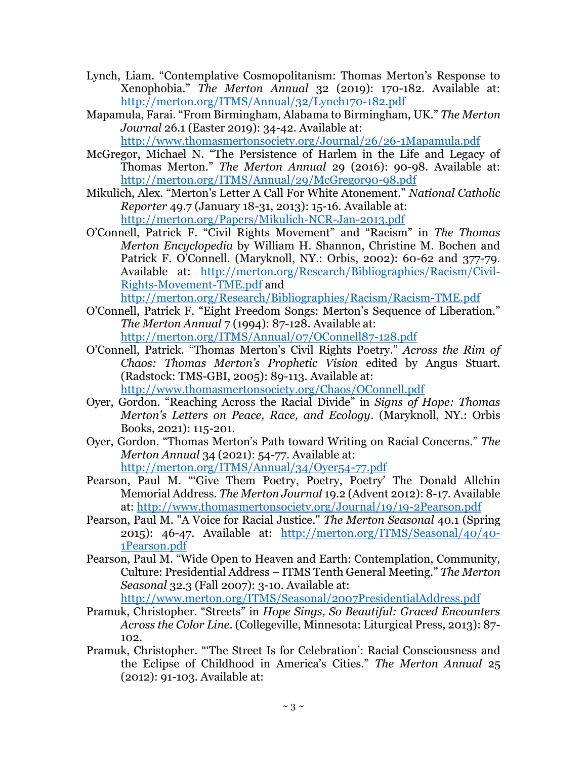- Lynch, Liam. "Contemplative Cosmopolitanism: Thomas Merton's Response to Xenophobia." *The Merton Annual* 32 (2019): 170-182. Available at: <http://merton.org/ITMS/Annual/32/Lynch170-182.pdf>
- Mapamula, Farai. "From Birmingham, Alabama to Birmingham, UK." *The Merton Journal* 26.1 (Easter 2019): 34-42. Available at:

<http://www.thomasmertonsociety.org/Journal/26/26-1Mapamula.pdf>

- McGregor, Michael N. "The Persistence of Harlem in the Life and Legacy of Thomas Merton." *The Merton Annual* 29 (2016): 90-98. Available at: <http://merton.org/ITMS/Annual/29/McGregor90-98.pdf>
- Mikulich, Alex. "Merton's Letter A Call For White Atonement." *National Catholic Reporter* 49.7 (January 18-31, 2013): 15-16. Available at: <http://merton.org/Papers/Mikulich-NCR-Jan-2013.pdf>
- O'Connell, Patrick F. "Civil Rights Movement" and "Racism" in *The Thomas Merton Encyclopedia* by William H. Shannon, Christine M. Bochen and Patrick F. O'Connell. (Maryknoll, NY.: Orbis, 2002): 60-62 and 377-79. Available at: [http://merton.org/Research/Bibliographies/Racism/Civil-](http://merton.org/Research/Bibliographies/Racism/Civil-Rights-Movement-TME.pdf)[Rights-Movement-TME.pdf](http://merton.org/Research/Bibliographies/Racism/Civil-Rights-Movement-TME.pdf) and <http://merton.org/Research/Bibliographies/Racism/Racism-TME.pdf>
- O'Connell, Patrick F. "Eight Freedom Songs: Merton's Sequence of Liberation." *The Merton Annual* 7 (1994): 87-128. Available at: <http://merton.org/ITMS/Annual/07/OConnell87-128.pdf>
- O'Connell, Patrick. "Thomas Merton's Civil Rights Poetry." *Across the Rim of Chaos: Thomas Merton's Prophetic Vision* edited by Angus Stuart. (Radstock: TMS-GBI, 2005): 89-113. Available at: <http://www.thomasmertonsociety.org/Chaos/OConnell.pdf>
- Oyer, Gordon. "Reaching Across the Racial Divide" in *Signs of Hope: Thomas Merton's Letters on Peace, Race, and Ecology*. (Maryknoll, NY.: Orbis Books, 2021): 115-201.
- Oyer, Gordon. "Thomas Merton's Path toward Writing on Racial Concerns." *The Merton Annual* 34 (2021): 54-77. Available at: <http://merton.org/ITMS/Annual/34/Oyer54-77.pdf>
- Pearson, Paul M. "'Give Them Poetry, Poetry, Poetry' The Donald Allchin Memorial Address. *The Merton Journal* 19.2 (Advent 2012): 8-17. Available at:<http://www.thomasmertonsociety.org/Journal/19/19-2Pearson.pdf>
- Pearson, Paul M. "A Voice for Racial Justice." *The Merton Seasonal* 40.1 (Spring 2015): 46-47. Available at: [http://merton.org/ITMS/Seasonal/40/40-](http://merton.org/ITMS/Seasonal/40/40-1Pearson.pdf) [1Pearson.pdf](http://merton.org/ITMS/Seasonal/40/40-1Pearson.pdf)
- Pearson, Paul M. "Wide Open to Heaven and Earth: Contemplation, Community, Culture: Presidential Address – ITMS Tenth General Meeting." *The Merton Seasonal* 32.3 (Fall 2007): 3-10. Available at:

<http://www.merton.org/ITMS/Seasonal/2007PresidentialAddress.pdf>

- Pramuk, Christopher. "Streets" in *Hope Sings, So Beautiful: Graced Encounters Across the Color Line*. (Collegeville, Minnesota: Liturgical Press, 2013): 87- 102.
- Pramuk, Christopher. "'The Street Is for Celebration': Racial Consciousness and the Eclipse of Childhood in America's Cities." *The Merton Annual* 25 (2012): 91-103. Available at: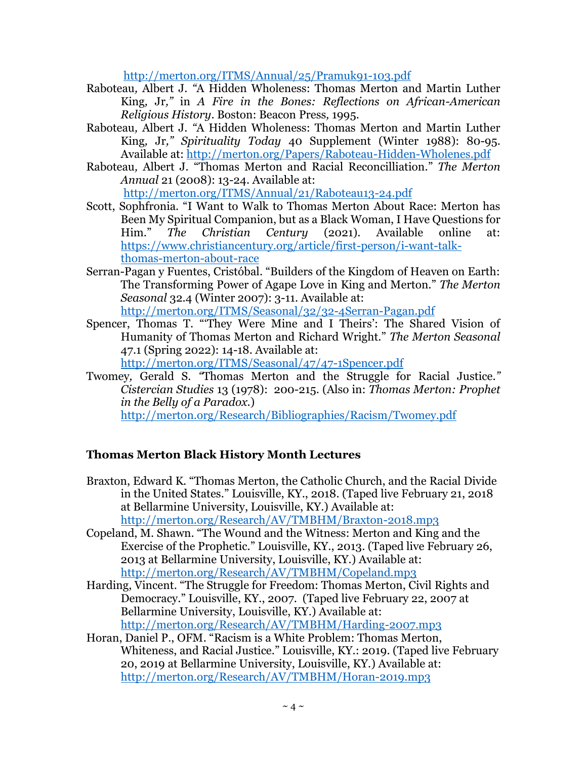http://merton.org/ITMS/Annual/25/Pramuk91-103.pdf

- Raboteau*,* Albert J. *"*A Hidden Wholeness: Thomas Merton and Martin Luther King*,* Jr*,"* in *A Fire in the Bones: Reflections on African-American Religious History*. Boston: Beacon Press*,* 1995.
- Raboteau*,* Albert J. *"*A Hidden Wholeness: Thomas Merton and Martin Luther King*,* Jr*," Spirituality Today* 40 Supplement (Winter 1988): 80-95. Available at: http://merton.org/Papers/Raboteau-Hidden-Wholenes.pdf
- Raboteau*,* Albert J. "Thomas Merton and Racial Reconcilliation." *The Merton Annual* 21 (2008): 13-24. Available at: http://merton.org/ITMS/Annual/21/Raboteau13-24.pdf
- Scott, Sophfronia. "I Want to Walk to Thomas Merton About Race: Merton has Been My Spiritual Companion, but as a Black Woman, I Have Questions for Him." *The Christian Century* (2021). Available online at: https://www.christiancentury.org/article/first-person/i-want-talkthomas-merton-about-race
- Serran-Pagan y Fuentes, Cristóbal. "Builders of the Kingdom of Heaven on Earth: The Transforming Power of Agape Love in King and Merton." *The Merton Seasonal* 32.4 (Winter 2007): 3-11. Available at: http://merton.org/ITMS/Seasonal/32/32-4Serran-Pagan.pdf
- Spencer, Thomas T. "'They Were Mine and I Theirs': The Shared Vision of Humanity of Thomas Merton and Richard Wright." *The Merton Seasonal* 47.1 (Spring 2022): 14-18. Available at:
	- http://merton.org/ITMS/Seasonal/47/47-1Spencer.pdf
- Twomey*,* Gerald S. *"*Thomas Merton and the Struggle for Racial Justice.*" Cistercian Studies* 13 (1978): 200-215. (Also in: *Thomas Merton: Prophet in the Belly of a Paradox*.) http://merton.org/Research/Bibliographies/Racism/Twomey.pdf

# **Thomas Merton Black History Month Lectures**

- Braxton, Edward K. "Thomas Merton, the Catholic Church, and the Racial Divide in the United States." Louisville, KY., 2018. (Taped live February 21, 2018 at Bellarmine University, Louisville, KY.) Available at: http://merton.org/Research/AV/TMBHM/Braxton-2018.mp3
- Copeland, M. Shawn. "The Wound and the Witness: Merton and King and the Exercise of the Prophetic." Louisville, KY., 2013. (Taped live February 26, 2013 at Bellarmine University, Louisville, KY.) Available at: http://merton.org/Research/AV/TMBHM/Copeland.mp3
- Harding, Vincent. "The Struggle for Freedom: Thomas Merton, Civil Rights and Democracy." Louisville, KY., 2007. (Taped live February 22, 2007 at Bellarmine University, Louisville, KY.) Available at: http://merton.org/Research/AV/TMBHM/Harding-2007.mp3
- Horan, Daniel P., OFM. "Racism is a White Problem: Thomas Merton, Whiteness, and Racial Justice." Louisville, KY.: 2019. (Taped live February 20, 2019 at Bellarmine University, Louisville, KY.) Available at: http://merton.org/Research/AV/TMBHM/Horan-2019.mp3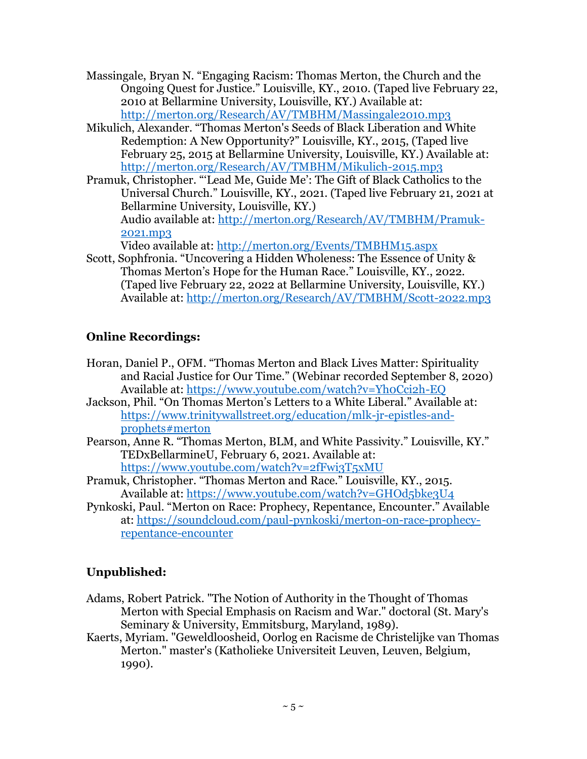- Massingale, Bryan N. "Engaging Racism: Thomas Merton, the Church and the Ongoing Quest for Justice." Louisville, KY., 2010. (Taped live February 22, 2010 at Bellarmine University, Louisville, KY.) Available at: http://merton.org/Research/AV/TMBHM/Massingale2010.mp3
- Mikulich, Alexander. "Thomas Merton's Seeds of Black Liberation and White Redemption: A New Opportunity?" Louisville, KY., 2015, (Taped live February 25, 2015 at Bellarmine University, Louisville, KY.) Available at: http://merton.org/Research/AV/TMBHM/Mikulich-2015.mp3
- Pramuk, Christopher. "'Lead Me, Guide Me': The Gift of Black Catholics to the Universal Church." Louisville, KY., 2021. (Taped live February 21, 2021 at Bellarmine University, Louisville, KY.) Audio available at: http://merton.org/Research/AV/TMBHM/Pramuk-2021.mp3

Video available at: http://merton.org/Events/TMBHM15.aspx

Scott, Sophfronia. "Uncovering a Hidden Wholeness: The Essence of Unity & Thomas Merton's Hope for the Human Race." Louisville, KY., 2022. (Taped live February 22, 2022 at Bellarmine University, Louisville, KY.) Available at: http://merton.org/Research/AV/TMBHM/Scott-2022.mp3

# **Online Recordings:**

- Horan, Daniel P., OFM. "Thomas Merton and Black Lives Matter: Spirituality and Racial Justice for Our Time." (Webinar recorded September 8, 2020) Available at: https://www.youtube.com/watch?v=Yh0Cci2h-EQ
- Jackson, Phil. "On Thomas Merton's Letters to a White Liberal." Available at: https://www.trinitywallstreet.org/education/mlk-jr-epistles-andprophets#merton
- Pearson, Anne R. "Thomas Merton, BLM, and White Passivity." Louisville, KY." TEDxBellarmineU, February 6, 2021. Available at: https://www.youtube.com/watch?v=2fFwi3T5xMU
- Pramuk, Christopher. "Thomas Merton and Race." Louisville, KY., 2015. Available at: https://www.youtube.com/watch?v=GHOd5bke3U4
- Pynkoski, Paul. "Merton on Race: Prophecy, Repentance, Encounter." Available at: https://soundcloud.com/paul-pynkoski/merton-on-race-prophecyrepentance-encounter

# **Unpublished:**

- Adams, Robert Patrick. "The Notion of Authority in the Thought of Thomas Merton with Special Emphasis on Racism and War." doctoral (St. Mary's Seminary & University, Emmitsburg, Maryland, 1989).
- Kaerts, Myriam. "Geweldloosheid, Oorlog en Racisme de Christelijke van Thomas Merton." master's (Katholieke Universiteit Leuven, Leuven, Belgium, 1990).